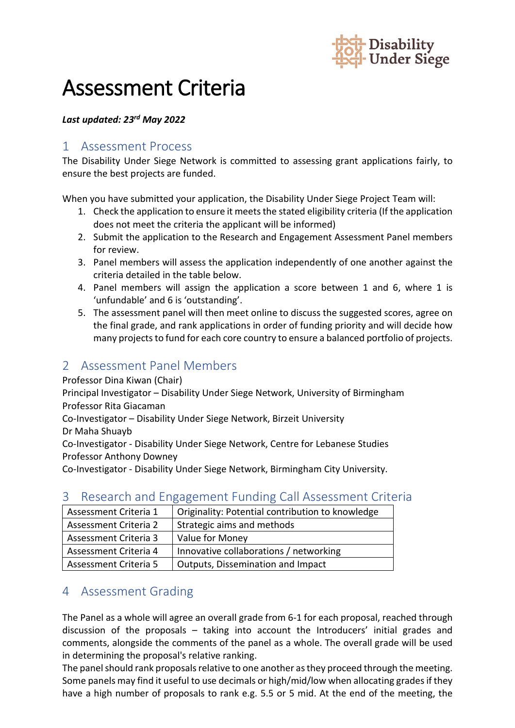

# Assessment Criteria

#### *Last updated: 23rd May 2022*

#### 1 Assessment Process

The Disability Under Siege Network is committed to assessing grant applications fairly, to ensure the best projects are funded.

When you have submitted your application, the Disability Under Siege Project Team will:

- 1. Check the application to ensure it meets the stated eligibility criteria (If the application does not meet the criteria the applicant will be informed)
- 2. Submit the application to the Research and Engagement Assessment Panel members for review.
- 3. Panel members will assess the application independently of one another against the criteria detailed in the table below.
- 4. Panel members will assign the application a score between 1 and 6, where 1 is 'unfundable' and 6 is 'outstanding'.
- 5. The assessment panel will then meet online to discuss the suggested scores, agree on the final grade, and rank applications in order of funding priority and will decide how many projects to fund for each core country to ensure a balanced portfolio of projects.

## 2 Assessment Panel Members

Professor Dina Kiwan (Chair)

Principal Investigator – Disability Under Siege Network, University of Birmingham Professor Rita Giacaman

Co-Investigator – Disability Under Siege Network, Birzeit University

Dr Maha Shuayb

Co-Investigator - Disability Under Siege Network, Centre for Lebanese Studies Professor Anthony Downey

Co-Investigator - Disability Under Siege Network, Birmingham City University.

## 3 Research and Engagement Funding Call Assessment Criteria

| Assessment Criteria 1 | Originality: Potential contribution to knowledge |
|-----------------------|--------------------------------------------------|
| Assessment Criteria 2 | Strategic aims and methods                       |
| Assessment Criteria 3 | Value for Money                                  |
| Assessment Criteria 4 | Innovative collaborations / networking           |
| Assessment Criteria 5 | Outputs, Dissemination and Impact                |

## 4 Assessment Grading

The Panel as a whole will agree an overall grade from 6-1 for each proposal, reached through discussion of the proposals – taking into account the Introducers' initial grades and comments, alongside the comments of the panel as a whole. The overall grade will be used in determining the proposal's relative ranking.

The panel should rank proposals relative to one another as they proceed through the meeting. Some panels may find it useful to use decimals or high/mid/low when allocating grades if they have a high number of proposals to rank e.g. 5.5 or 5 mid. At the end of the meeting, the